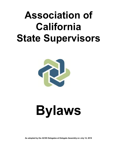# **Association of California State Supervisors**



# **Bylaws**

**As adopted by the ACSS Delegates at Delegate Assembly on July 14, 2018**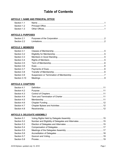# **Table of Contents**

# **ARTICLE 1: NAME AND PRINCIPAL OFFICE**

#### **ARTICLE 2: PURPOSES**

| Section 2.1 |              |  |
|-------------|--------------|--|
| Section 2.2 | l imitations |  |

# **ARTICLE 3: MEMBERS**

| Section 3.1  |  |
|--------------|--|
| Section 3.2  |  |
| Section 3.3  |  |
| Section 3.4  |  |
| Section 3.5  |  |
| Section 3.6  |  |
| Section 3.7  |  |
| Section 3.8  |  |
| Section 3.9  |  |
| Section 3.10 |  |
|              |  |

# **ARTICLE 4: CHAPTERS**

| Section 4.1 |  |
|-------------|--|
| Section 4.2 |  |
| Section 4.3 |  |
| Section 4.4 |  |
| Section 4.5 |  |
| Section 4.6 |  |
| Section 4.7 |  |
| Section 4.8 |  |

# **ARTICLE 5: DELEGATE ASSEMBLY**

| Section 5.1 |  |
|-------------|--|
| Section 5.2 |  |
| Section 5.3 |  |
| Section 5.4 |  |
| Section 5.5 |  |
| Section 5.6 |  |
| Section 5.7 |  |
| Section 5.8 |  |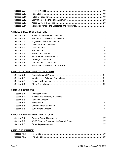| Section 5.9  |  |
|--------------|--|
| Section 5.10 |  |
| Section 5.11 |  |
| Section 5.12 |  |
| Section 5.13 |  |
| Section 5.14 |  |

# **ARTICLE 6: BOARD OF DIRECTORS**

| Section 6.1  |  |
|--------------|--|
| Section 6.2  |  |
| Section 6.3  |  |
| Section 6.4  |  |
| Section 6.5  |  |
| Section 6.6  |  |
| Section 6.7  |  |
| Section 6.8  |  |
| Section 6.9  |  |
| Section 6.10 |  |
| Section 6.11 |  |

# **ARTICLE 7: COMMITTEES OF THE BOARD**

| Section 7.2 |  |
|-------------|--|
| Section 7.3 |  |
|             |  |

# **ARTICLE 8: OFFICERS**

| Section 8.1 |  |
|-------------|--|
| Section 8.2 |  |
| Section 8.3 |  |
| Section 8.4 |  |
| Section 8.5 |  |
| Section 8.6 |  |

# **ARTICLE 9: REPRESENTATIVES TO CSEA**

| Section 9.1 |  |
|-------------|--|
| Section 9.2 |  |
| Section 9.3 |  |

# **ARTICLE 10: FINANCE**

| Section 10.1 | Fiscal Year |  |
|--------------|-------------|--|
| Section 10.2 |             |  |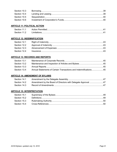| Section 10.6 |  |
|--------------|--|

#### **ARTICLE 11: POLITICAL ACTION**

| Section 11.1 | Action Permitted |  |
|--------------|------------------|--|
| Section 11.2 | ∪imitation∖      |  |

# **ARTICLE 12: INDEMNIFICATION**

#### **ARTICLE 13: RECORDS AND REPORTS**

| Section 13.1 |                                                                  |  |
|--------------|------------------------------------------------------------------|--|
| Section 13.2 |                                                                  |  |
|              |                                                                  |  |
| Section 13.4 | Annual Statements of Certain Transactions and Indemnifications45 |  |

# **ARTICLE 14: AMENDMENT OF BYLAWS**

| Section 14.1 |  |
|--------------|--|
| Section 14.2 |  |
| Section 14.3 |  |

# **ARTICLE 15: INTERPRETATION**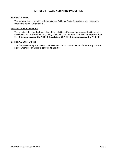# **ARTICLE 1 – NAME AND PRINCIPAL OFFICE**

#### **Section 1.1 Name**

The name of this corporation is Association of California State Supervisors, Inc. (hereinafter referred to as the "Corporation").

#### **Section 1.2 Principal Office**

The principal office for the transaction of the activities, affairs and business of the Corporation shall be located at 3000 Advantage Way, Suite 210, Sacramento, CA 95834 **(Resolution B&P 01/12, Delegate Assembly 7/20/12; Resolution B&P 01/18, Delegate Assembly 7/14/18)**

#### **Section 1.3 Other Offices**

The Corporation may from time to time establish branch or subordinate offices at any place or places where it is qualified to conduct its activities.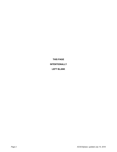**THIS PAGE INTENTIONALLY LEFT BLANK**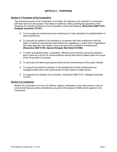# **ARTICLE 2 – PURPOSES**

#### **Section 2.1 Purposes of the Corporation**

The principal purpose of the Corporation is to further the interests of its members in connection with their service to the people of the State of California. Without limiting the generality of the foregoing, the specific purposes of the Corporation include the following: **(Resolution B&P 01/07, Delegate Assembly 7/21/07)**

- A. To encourage the development and maintenance of high standards of professionalism in state employment;
- B. To promote the welfare of its members in connection with their employment with the State of California representing them before the Legislature, in courts and in negotiations with state agencies over wages, hours and terms and conditions of employment. **(Resolution B&P 01/06, Special Delegate Mail Ballot 8/10/06)**
- C. To foster acquaintanceship, cooperation, efficiency and harmony among its members, and to serve as a forum for communications among them about matters within the scope of the Corporation's purposes.
- D. To advocate and defend good government and the advancement of the public interest.
- E. To support and assist its members in the development of their professional and managerial skills and in the advancement of their careers in state service.
- F. To represent the interests of its members. (Resolution B&P 01/07, Delegate Assembly 7/21/07)

#### **Section 2.2 Limitations**

Neither the Corporation nor any of its officers, agents, employees or any other person under its control shall take any action prohibited by any part of the bylaws of CSEA which applies to the Corporation.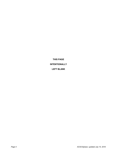**THIS PAGE INTENTIONALLY LEFT BLANK**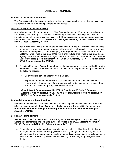# **ARTICLE 3 – MEMBERS**

#### **Section 3.1 Classes of Membership**

The Corporation shall have two mutually exclusive classes of membership; active and associate. No person may hold membership in more than one class.

#### **Section 3.2 Eligibility for Membership**

Any individual dedicated to the purposes of this Corporation and qualified membership in one of the following classes may be admitted to membership in such class on compliance with the procedures set forth in this article and in Article 4. The qualifications for the respective classes of membership shall be as follows: **(Resolution 5, Delegate Assembly 10/4/94; Resolution B&P 02/09, Delegate Assembly 7/11/09)**

- A. Active Members active members are employees of the State of California, including those on authorized leave, who are not represented by an exclusive bargaining agent or who are excluded from bargaining under the employer-employee relations statues of the State of California. Employees of the State of California shall include employees of the State or any agency or department thereof, the Legislature, the University of California and the California State Universities. **(Resolution B&P 01/07, Delegate Assembly 7/21/07; Resolution B&P 02/09, Delegate Assembly 7/11/09)**
- B. Associate Members Associate members are those persons who are not qualified for active membership but who are dedicated to the purposes of the Corporation and qualify in one of the following categories:
	- 1. On authorized leave of absence from state service;
	- 2. Separated, demoted, temporarily laid-off or suspended from state service under protest, during the pendency of any proceedings for reinstatement and appeals there from and until such disciplinary action becomes final.

#### **(Resolution 5, Delegate Assembly 10/4/94; Resolution B&P 01/07, Delegate Assembly 7/21/07; Resolution B&P 02/09, Delegate Assembly 7/11/09; Resolution B&P 02/18, Delegate Assembly 7/14/18)**

#### **Section 3.3 Members in Good Standing**

Members in good standing are those who have paid the required dues as described in Section 3.6(A) in accordance with these Bylaws and who have not lost their eligibility for membership. **(Resolution B&P 01/07, Delegate Assembly 7/21/07; Resolution B&P 02/09, Delegate Assembly 7/11/09)**

#### **Section 3.4 Rights of Members**

All members of the Corporation shall have the right to attend and speak at any open meeting. Other rights of members shall be as follows: **(Resolution B&P 01/07, Delegate Assembly 7/21/07; Resolution B&P 02/09, Delegate Assembly 7/11/09)**

A. Active Members - active members in good standing shall be entitled to all the rights and privileges of membership, including (without limitation) the right to vote, the right to hold office if elected, and the right to participate on a non-discriminatory basis. All voting rights in the Corporation are held by the active members in good standing or by delegation from them.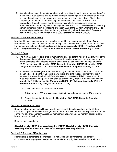B. Associate Members - Associate members shall be entitled to participate in member benefits to the extent such benefits can be provided without interfering with the Corporation's ability to serve the active members. Associate members may not vote for or hold office in their Chapters, or vote for or serve as Delegates, Alternates, Officers or Directors of this Corporation. These Bylaws or the Corporation may refer to associate members as "members" even though they are not voting members, but no such reference shall make any person a member within the meaning of Section 5056 of the California Corporations Code unless that person is an active member in good standing. **(Resolution 01/07, Delegate Assembly 07/21/07; Resolution B&P 02/09, Delegate Assembly 7/11/09)**

#### **Section 3.5 Term of Membership**

Membership shall commence when a member is admitted in accordance with these Bylaws. Membership shall continue until the member resigns, dies, becomes ineligible for membership or the membership is terminated. **(Resolution 5, Delegate Assembly 10/4/94; Resolution B&P 01/07, Delegate Assembly 7/21/07; Resolution B&P 02/09, Delegate Assembly 7/11/09)**

#### **Section 3.6 Dues**

- A. The monthly dues for each type of membership shall be determined by a majority vote of the delegates at the regularly scheduled Delegate Assembly. Any new dues structure adopted by the delegates shall become effective only after a 60-day notice has been given to the ACSS membership. **(Resolution 01/00, Delegate Assembly 7/15/00; Resolution 01/07, Delegate Assembly 07/21/07; Resolution B&P 02/09, Delegate Assembly 7/11/09)**
- B. In the event of an emergency, as determined by a two-thirds vote of the Board of Directors then in office, the Board of Directors may adopt a one-time increase in monthly dues in between the regularly scheduled Delegate Assembly meetings. This increase in monthly dues shall not exceed 5 percent and shall be effective only after a 30-day notice has been given to the ACSS membership. **(Resolution B&P 01/07, Delegate Assembly 07/21/07; Resolution B&P 02/09, Delegate Assembly 7/11/09)**

The current dues shall be calculated as follows:

- 1. Active member: 007 x gross salary + \$4.50 to a maximum amount of \$36 a month.
- 2. Associate member: \$15 a month **(Resolution B&P 02/09, Delegate Assembly 7/11/09)**

#### **Section 3.7 Payment of Dues**

Dues for active members shall be payable through payroll deduction so long as the State of California cooperates with such arrangement. Otherwise, active members shall pay dues monthly on the first day of each month. Associate members shall pay dues on a monthly basis payable before the end of each month.

Dues are non-refundable.

#### **(Resolution B&P 01/07, Delegate Assembly 7/21/07; Resolution B&P 02/09, Delegate Assembly 7/11/09; Resolution B&P 02/18, Delegate Assembly 7/14/18)**

#### **Section 3.8 Transfer of Membership**

Membership is personal to the member. It is not assignable or transferable under any circumstances. Any purported assignment or transfer of any rights of membership shall be null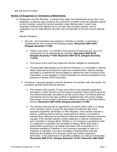and void and of no effect.

#### **Section 3.9 Suspension or Termination of Membership**

A. Resignation and Non-Renewal - a member may resign from membership at any time. Such resignation is effective upon receipt by the Corporation of written notice of resignation signed by such member, unless the member specifies a later effective date, in which case resignation shall become effective as of such later date provided, however, that no resignation may be made affective any later than the expiration of the then-current calendar year.

#### Member Discipline

- 1. Grounds the Corporation may suspend or discipline a member, or terminate a membership for one or more of the following causes: **(Resolution B&P 02/09, Delegate Assembly 7/11/09)**
	- a. Failure to pay dues if a member's dues become 90 days past due, his or her membership can be administratively canceled. **(Resolution B&P 02/09, Delegate Assembly 7/11/09; Resolution B&P 02/18, Delegate Assembly 7/14/18)**
	- b. Occurrence of any event that makes the member ineligible for membership.
	- c. The good faith determination by the Board of Directors, or a committee or hearing officer authorized by the Board to make such a determination, that the member has failed in a material and serious degree to observe the rules of conduct of the Corporation, or has engaged in conduct materially and seriously prejudicial to the purposes or interest of the Corporation.
- 2. Procedure if grounds appear to exist for discipline of a member under this section, the procedure set forth below shall be followed:
	- a. The member shall be given 15 days' prior notice of the proposed suspension, termination or other discipline and the reasons therefore. Notice shall be given by any method reasonably calculated to provide actual notice. Any Notices given by mail shall be sent by first-class certified or registered mail, with proper postage fully prepaid, to the member's last known address as shown on the Corporation's records. **(Resolution B&P 02/09, Delegate Assembly 7/11/09)**
	- b. The member shall be given an opportunity to be heard, either orally or in writing at the member's option, at least five days before the effective date of the proposed suspension, termination or other discipline. If the member requests a hearing, a hearing shall be held at a reasonable time before a committee or hearing officer authorized by the Board to determine whether discipline should be imposed. If the member submits a written statement, it shall be considered by such committee or hearing officer. Whether or not a hearing is requested or held, or a statement is submitted, the committee or hearing officer shall make a determination according to all reliable information that is presented to it or otherwise available to it whether or not a hearing is requested or held or a statement is submitted. The same committee or hearing officer shall also determine the discipline to be imposed, which may include suspension, termination, or the performance of specified conditions to continued membership. **(Resolution B&P 01/07, Delegate Assembly 7/21/07; Resolution B&P 02/09,**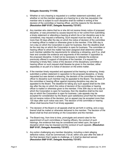#### **Delegate Assembly 7/11/09)**

- c. Whether or not a hearing is requested or a written statement submitted, and whether or not the member appears at a hearing he or she has requested, the member who is subject to such discipline shall be notified in writing of the decision of the committee or hearing officer, and the reasons for the decision. **(Resolution B&P 01/07, Delegate Assembly 7/21/07)**
- d. Any member who claims that he or she did not receive timely notice of proposed discipline, or was prevented by causes beyond his or her control from submitting a timely statement or attending a hearing at which his or her discipline was to be considered, may request a rehearing. Such request must be made, if at all, no more than 30 days after the day on which the notice of decision of the committee or hearing officer is mailed or otherwise given to the member. If the 30th day is not a day on which the Corporation is open for business, then the deadline shall be the next day on which the Corporation is open for business. The committee or hearing officer to which the matter has been assigned shall determine whether such member satisfies the requirements for obtaining a rehearing, and if so, shall hear and consider the evidence and arguments of the member in opposition to the proposed discipline. It shall not be necessary to reiterate the evidence previously offered in support of discipline of the member. If a request for rehearing is timely filed, notice of the decision of the disciplinary committee or hearing officer on such request shall likewise be given to the member, either separately or as part of a notice of decision on the entire matter.
- e. If the member timely requested and appeared at the hearing or rehearing, timely submitted a written statement in opposition to the proposed discipline, or timely requested but was denied a rehearing, the decision of the committee or hearing officer to discipline such member may be appealed to the Board. The decision of the committee or hearing officer against imposing discipline may also be appealed to the Board. The deadline for taking any such appeal shall be the 30th day after the day on which the notice of decision of the committee or hearing officer is mailed or otherwise given to the member. If the 30th day is not a day on which the Corporation is open for business, then the deadline shall be the next day on which the Corporation is open for business. Late appeals may be accepted for consideration by the Board upon satisfactory proof that the member did not receive notice of the decision, but no appeal may be accepted more than 120 days after such notice was sent. The decision of the committee or hearing officer shall become final if not timely appealed.
- f. The decision of the Board on all appeals shall be set forth in writing, and a copy thereof shall be mailed or otherwise delivered to the member. The decision of the Board shall be final and binding on the Corporation and the member.
- g. The Board may, from time to time, promulgate and amend rules for the appointment of such committees or hearing officers, the conduct of such hearings, the evidence that may be considered and relied upon, the type of discipline which may be imposed and the conduct of such appeals. **(Resolution B&P 01/07, Delegate Assembly 7/21/07)**
- h. Any action challenging any member discipline, including a claim alleging defective notice, must be commenced, if at all, within one year after the date of the final decision that it seeks to challenge, or it shall be deemed waived. **(Resolution B&P 01/07, Delegate Assembly 7/21/07)**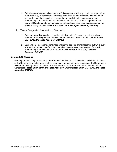- 3. Reinstatement upon satisfactory proof of compliance with any conditions imposed by the Board or by a disciplinary committee or hearing officer, a member who has been suspended may be reinstated as a member in good standing. A person whose membership has been terminated may be readmitted only with the approval of the Board of Directors and upon compliance with such pre-conditions to reinstatement as the Board may require. **(Resolution B&P 02/09, Delegate Assembly 7/11/09)**
- B. Effect of Resignation, Suspension or Termination
	- 1. Resignation or Termination upon the effective date of resignation or termination, a member loses all rights and benefits of membership in the Corporation. **(Resolution B&P 02/09, Delegate Assembly 7/11/09)**
	- 2. Suspension a suspended member retains the benefits of membership, but while such suspension remains in effect, such member may not exercise any rights for which membership in good standing is required. **(Resolution B&P 02/09, Delegate Assembly 7/11/09)**

#### **Section 3.10 Meetings**

Meetings of the Delegate Assembly, the Board of Directors and all commits at which the business of the Corporation is acted upon shall be open to all members in good standing of the Corporation. All chapter meetings shall be open to all members of such Chapter and to the members of the Corporation. **(Resolution 01/07, Delegate Assembly 7/21/07; Resolution B&P 02/09, Delegate Assembly 7/11/09)**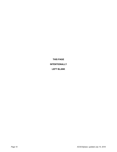**THIS PAGE INTENTIONALLY LEFT BLANK**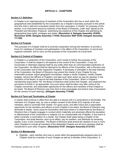# **ARTICLE 4 – CHAPTERS**

#### **Section 4.1 Definition**

A Chapter is an organized group of members of the Corporation who live or work within the geographical area established by the Corporation as a chapter's boundary pursuant to this article and who hold a valid and unrevoked charter from this corporation. A charter, for purposes of this section, is an instrument issued by authority of the Board of Directors, under seal, signed by the President and Secretary-Treasurer, authorizing the existence of the Chapter and specifying its geographical area rights, privileges and duties. **(Resolution 4, Delegate Assembly 10/4/94; Resolution 02/00, Delegate Assembly 7/15/00; Resolution B&P 03/09, Delegate Assembly 7/11/09)**

#### **Section 4.2 Purpose**

The purposes of a Chapter shall be to promote cooperation among the members, to provide a forum for meetings of members and participation in the affairs of the Corporation, to recruit and organize members, and to carry out the purposes of the Corporation at a local level.

#### **Section 4.3 Control of Chapters**

A Chapter is a subdivision of the Corporation, and it exists to further the purposes of the Corporation. It shall be subject in all respects to the control of the Corporation. It may not incorporate or otherwise organize itself as any entity other than an unincorporated subdivision of the Corporation. Its officers shall be deemed to be officers of the Corporation, with a fiduciary duty to the Corporation and to their respective Chapters. If necessary or advisable in the best interests of the Corporation, the Board of Directors may amend the charter of any Chapter for any reasonable purpose, adjust geographic boundaries, merge or divide Chapters, modify Chapter budgets, remove the officers of Chapters, and take such other action as may be required, in the discretion of the Board, to secure the best interests of the Corporation. When a Chapter's membership drops below 100, the Board of Directors shall review that Chapter, and implement the provisions of Article 4, as appropriate. Any such action shall be taken only after notice to the Chapter concerned, and reasonable opportunity for the officers and members of that Chapter to be heard. The Board of Directors may from time to time promulgate and amend rules of procedure for the conduct of such hearings. **(Delegate Assembly 7/18/98)**

#### **Section 4.4 Term and Termination of Charter**

A charter shall continue in effect from the date it is issued until it is surrendered or terminated. The members of a Chapter may, by vote or written consent of two-thirds (2/3) majority of all such members, elect to surrender their charter. For good cause, and after notice and a reasonable opportunity for the members and officers of such Chapter to be heard, the Board of Directors may terminate a charter. Good cause for termination shall exist where it is determined by the Board of Directors that a Chapter engages in conduct which materially and adversely affects the reputation or effectiveness of the Corporation or subjects it to an unreasonable risk of liability. In the event of either surrender or termination of a charter, the Chapter shall cease being a Chapter of the Corporation, and shall dissolve, wind up its affairs, pay its creditors, and distribute its remaining assets, if any, to the Corporation. The Board of Directors shall amend the charters of one or more other Chapters to include all members of the disbanded Chapter and all such members shall be transferred to such other Chapters. **(Resolution 01/07, Delegate Assembly 07/21/07)**

#### **Section 4.5 Membership**

A. Eligibility - each member who lives or works within the geographically assigned area of a Chapter shall be a member of such Chapter as well as a member of the Corporation. A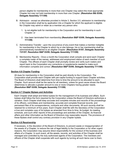person eligible for membership in more than one Chapter may select the most appropriate Chapter but may not hold membership in more than one Chapter. **(Resolution B& 03/09, Delegate Assembly 7/11/09)**

- B. Admission except as otherwise provided in Article 3, Section 3.5, admission to membership in the Corporation shall be by application into a Chapter for which the applicant is eligible. No Chapter may admit or retain as a member any person who:
	- 1. Is not eligible both for membership in the Corporation and for membership in such Chapter; or
	- 2. Has been terminated from membership **(Resolution B&P 03/09, Delegate Assembly 7/11/09)**
- C. Administrative Transfer upon the occurrence of any event that makes a member ineligible for membership in the Chapter to which he or she belongs, his or her membership shall be administratively transferred to an eligible Chapter. **(Resolution 01/07, Delegate Assembly 7/21/07; Resolution B&P 03/09, Delegate Assembly 7/11/09)**
- D. Membership Reports Once a month the Corporation shall compile and send each Chapter a complete roster of the names, addresses and employment status of each member of such Chapter. The officers of each Chapter shall promptly review and verify such rosters and report back to the Corporation any corrections or supplements needed to make such information complete and correct. **(Resolution B&P 03/09, Delegate Assembly 7/11/09)**

#### **Section 4.6 Chapter Funding**

All dues for membership in the Corporation shall be paid directly to the Corporation. The Corporation shall provide each Chapter with per-capita funding to support basic Chapter activities. The Board of Directors shall determine from time to time the amount to be allocated to each Chapter. Such amount shall be the same for all members, unless for good cause shown the Board determines to allocate a greater amount to one or more Chapters having greater needs. **(Resolution B&P 03/09, Delegate Assembly 7/11/09)**

#### **Section 4.7 Chapter Bylaws and Activities**

Each Chapter shall adopt and follow bylaws for the management of its business and affairs. Such bylaws shall follow the form required by the Corporation unless the Board of Directors authorizes a variation. Each Chapter shall keep accurate and complete minutes and records of the proceedings of its officers, committees and membership; accurate and complete financial records; and permanent files of its correspondence, contracts and other documents. All such records shall be retained for a minimum of five years. Each Chapter shall file with the Secretary of the Corporation a true and complete copy of its bylaws as amended from time to time, its budget, its meeting schedule, and such other reports of the proceedings and activities of the Chapter, its financial affairs and other information as the Board of Directors may reasonably require. The provisions of these Bylaws shall control any contrary provision in any Chapter bylaws.

#### **Section 4.8 Receivership**

If necessary, in the discretion of the Board of Directors, to prevent waste or misappropriation of the assets of a Chapter, to reduce the risk of legal liability to the Corporation or for other urgent reasons, the Corporation may assume direct responsibility for the conduct of the business and affairs of a Chapter. In such event, all the assets, records, and activities of the Chapter shall be managed and controlled by the duly authorized agents of the Corporation. The members and officers of the Chapter shall cooperate with such agents by turning all such items over to them,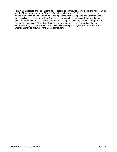explaining all records and transactions as requested, and otherwise taking all actions necessary to permit efficient management of Chapter affairs by such agents. Such receivership does not require prior notice, but as soon as reasonably possible after it is imposed, the Corporation shall give the officers and members of the Chapter a hearing on the question of the removal of such receivership. Such receivership shall continue for as long as necessary to resolve the problems that made it necessary. All rights of the members as members of the Corporation shall be preserved during such receivership, but they shall have only such rights with respect to the Chapter as may be allowed by the Board of Directors.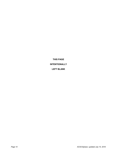**THIS PAGE INTENTIONALLY LEFT BLANK**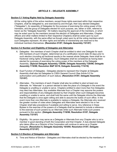# **ARTICLE 5 – DELEGATE ASSEMBLY**

#### **Section 5.1 Voting Rights Held by Delegate Assembly**

All the voting rights of the active members, except those rights exercised within their respective Chapters, shall be delegated to, and exercised by and through, their duly elected Delegates ("Delegates"). An assembly of Delegates for the purpose of exercising the voting power of the members, and the group of Delegates elected for such purpose, are, either or both, referred to herein as the "Delegate Assembly." All matters requiring the approval of the members, or which may be acted upon by the members (except the election of Delegates and Alternates, Chapter officers and other matters limited to their respective Chapters) shall be acted upon by such Delegate Assembly, with the same effect as though voted upon by all the voting members which such Delegates represent. All other rights and benefits of membership are reserved to the individual members themselves. **(Resolution 01/07, Delegate Assembly 7/21/07)**

#### **Section 5.2 Number and Eligibility of Delegates and Alternates**

- A. Delegates the members of each Chapter shall be entitled to elect one Delegate for each 200 members of such Chapter, determined as of a certification record date 45 days prior to such election (rounding all fractional results to the nearest whole Delegate; there shall be no fractional voting rights of Delegates). Such Delegates shall be considered as having been elected for purposes of exercising the voting power of the members at the Delegate Assembly. **(Special Delegate Assembly 1/20/96; Delegate Assembly 7/20/96; Delegate Assembly 7/18/98; Resolution B&P 03/18, Delegate Assembly 7/14/18)**
- B. Dual Function of Delegates Delegates elected to represent the Chapter at Delegate Assembly shall also be Delegates to CSEA General Council (See Article 9.2 for authorization and justification of such status). **(Resolution 01/07, Delegate Assembly 7/21/07)**
- C. Alternates The members of each Chapter shall also be entitled to elect at least one Alternate. An "Alternate" is a person elected to take the place of a Delegate in the event the Delegate is unwilling or unable to serve. Chapters entitled to elect more than five Delegates may elect two Alternates. Any available Alternate from a Chapter may assume the powers and responsibilities of any Delegate elected by that Chapter when such Delegate becomes unwilling or unable to serve, and shall hold the same until the Delegate informs the Alternate that the Delegate is once again willing and able to assume the duties of such office. In the event more than one Alternate is available to replace a Delegate, the Alternate who received the greater number of votes when Delegates and Alternates were elected in his or her Chapter shall take precedence if available and willing to serve. Any reference in these Bylaws to the exercise of the powers of a Delegate shall be deemed to include a reference to the exercise of such powers by an Alternate while such Alternate holds such powers pursuant to this section. **(Delegate Assembly 7/18/98; Resolution 01/07, Delegate Assembly 7/21/07)**
- D. Eligibility No person may serve as a Delegate or Alternate from any Chapter who is not a member in good standing of both the Corporation and that Chapter. A duly elected Delegate who takes office as a Director of the Corporation will continue to serve as a Chapter Delegate. **(Resolution 6, Delegate Assembly 10/4/94; Resolution 01/07, Delegate Assembly 07/21/07)**

#### **Section 5.3 Election of Delegates and Alternates**

A. Time and Notice of Election - Delegates and Alternates shall be elected by the members of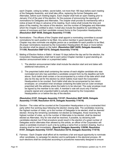each Chapter, voting by written, secret ballot, not more than 180 days before each meeting of the Delegate Assembly, and shall take office, replacing the former Delegates and Alternates, before such meeting begins. Each chapter shall hold an open meeting prior to January 31st of the year of the election, for the purpose of announcing the opening of nominations for Delegates and Alternates. The chapter shall provide its membership with a notice at least 30 days in advance of its meeting. Such notice shall include the time and place of the meeting, the nature of the election, and the number of Delegates and Alternates which the Chapter is entitled to elect. It shall also include the deadline for submitting the names of nominees and their candidate consent forms to the Corporation Headquarters. **(Resolution B&P 04/09, Delegate Assembly 7/11/09)**

- B. Nominations The officers of the Chapter shall appoint a nominating committee to accept nominations for each position to be filled. Any active member in good standing of the Chapter may also nominate one eligible person as a candidate for each position to be filled. All proper nominations received by the Corporation Headquarters 45 days or more before the election shall be placed on the ballot. **(Resolution B&P 04/09, Delegate Assembly 7/11/09, Resolution B&P 03/18, Delegate Assembly 7/14/18)**
- C. Mailing of Election Notice or Ballot At least 10 days before the day set for the election, the Corporation Headquarters shall mail to each active Chapter member in good standing an election announcement letter or a preprinted ballot.
	- 1. The election announcement letter shall include the election start and end dates with additional instructions, or
	- 2. The preprinted ballot shall containing the names of each eligible candidate who was nominated and who has submitted a candidate consent form by the deadline set forth above. Such ballot shall contain or be accompanied by a notice of the date which shall also be the day set for the election by which ballots must reach the Corporation Headquarters to be counted. Such ballot shall also be accompanied by two return envelopes: an unmarked inner envelope containing the ballot and an outer envelope preprinted with the address where the ballot is to be returned. The outer envelope must be signed by the member to be valid. A member's vote will count only if his/her properly signed and unspoiled ballot is actually received by the Corporation Headquarters on or before the day of the election.

#### **(Resolution 01/07, Delegate Assembly 7/21/07; Resolution B&P 04/09, Delegate Assembly 7/11/09; Resolution 03/18, Delegate Assembly 7/14/18)**

- D. Election The votes will be counted at the Corporation Headquarters or by a contracted third party within five working days following the election closing date. The candidates receiving the highest number of votes, up to the number of Delegates to be elected, shall be deemed elected. Among the remaining candidates not elected as Delegates, those receiving the highest number of votes, up to the number of Alternates to be elected, shall be deemed elected as Alternates. Any tie vote shall be resolved, if possible, by declaring both candidates elected; but if that procedure would result in the election of a great number of Delegates and/or alternates than allowed by this article, an officer of the Corporation will select a candidate involved in such a tie by pulling a name from a random drawing. Such a drawing shall be held immediately. **(Special Delegate Assembly 1/20/96; Resolution 01/07, Delegate Assembly 7/21/07; Resolution 03/18, Delegate Assembly 7/14/18)**
- E. Fairness Each Chapter shall afford all its members a fair and equal opportunity to nominate other candidates, to campaign for election and to participate in the electoral process. All such elections shall be conducted according to procedures reasonably designed to ensure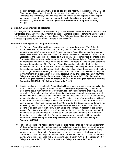the confidentiality and authenticity of all ballots, and the integrity of the results. The Board of Directors may from time to time adopt more specific rules for the conduct of elections of Delegates and Alternates, and such rules shall be binding on all Chapters. Each Chapter may adopt its own election rules not inconsistent with these Bylaws or with the rules established by the Board of Directors. **(Resolution B&P 04/09, Delegate Assembly 7/11/09)**

#### **Section 5.4 Compensation of Delegates**

No Delegate or Alternate shall be entitled to any compensation for services rendered as such. The Corporation shall, however, pay or reimburse their reasonable expenses for attending meetings of the Delegate Assembly, serving on committees of the Delegate Assembly and performing other services requested by the Board of Directors or the President.

#### **Section 5.5 Meetings of the Delegate Assembly**

- A. The Delegate Assembly shall hold a regular meeting every three years. The Delegate Assembly should be held no more than 120 days, but no less than 60 days before the meeting of the CSEA General Council. At each Delegate Assembly meeting the Delegate Assembly shall elect the Directors of the Corporation, review the business and affairs of the Corporation, and take such other action as may properly be brought before the meeting. The Corporation Headquarters shall give written notice of the time and place of such meeting to the membership at least 30 days before the meeting. The Board of Directors shall determine the exact time and place of the Delegate Assembly meeting, subject to the foregoing restrictions, and the Corporation Headquarters shall notify each Delegate and Alternate of the meeting notice referred to above. Such notice shall also include the agenda of all matters to be brought before the meeting and all materials and information submitted to or prepared by this Corporation in connection therewith. **(Resolution 10, Delegate Assembly 10/4/94; Delegate Assembly 7/20/96; Resolution 4, Delegate Assembly 7/15/00; Resolution 01/07, Delegate Assembly 7/21/07; Resolution B&P 04/09, Delegate Assembly 7/11/09; Resolution FISCAL 01/18, Delegate Assembly 7/14/18)**
- B. Special meetings The Delegate Assembly shall hold a special meeting upon the call of the Board of Directors, or upon the written demand of Delegates representing 10 percent or more of the active members of the Corporation. No such call or demand shall require the convening of a special meeting unless it specifies in reasonable detail the purpose of such meeting. No other business of any kind other than that specified in such call or demand may be considered at such special meeting. Within 15 business days after receipt of a valid call or demand for a special meeting, the Board of Directors shall set a time and place for the holding thereof, which shall be no more than 60 days after the date such call or demand was received by the Corporation. The Corporation Headquarters shall cause notice of such meeting to be sent as set forth below. Such notice shall contain, in addition to the matters required for notices generally, a copy of the statement of purposes for the meeting made by those who called or demanded it. It may also include additional materials that the Board determines to be advisable for the Delegates to consider in connection with the meeting. **(Resolution 01/07, Delegate Assembly 7/21/07; Resolution B&P 04/09, Delegate Assembly 7/11/09)**
- C. Notice of Meetings All notices of meetings required hereby shall be in writing no later than 30 days before the meeting. All such notices shall clearly state the time, place and purpose of the meeting and shall be sent by first-class mail to each Delegate and Alternate, at the current address on file with the Corporation. If no address appears on the books of the Corporation, notice may be given in any manner permitted by law. Such notice requirement may be waived in compliance with Corporations Code Section 7511(e). **(Resolution 01/07, Delegate Assembly 7/21/07; Resolution 03/18, Delegate Assembly 7/14/18)**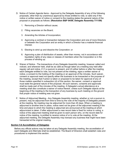- D. Notice of Certain Agenda Items Approval by the Delegate Assembly of any of the following proposals, other than by unanimous approval by those entitled to vote, is valid only if the notice or written waiver of notice or consent to the meeting states the general nature of the proposal or proposals as follows: **(Resolution B&P 04/09, Delegate Assembly 7/11/09)**
	- 1. Removing a Director without cause;
	- 2. Filling vacancies on the Board;
	- 3. Amending the Articles of Incorporation;
	- 4. Approving a contract or transaction between the Corporation and one of more Directors or between the Corporation and an entity in which a Director has a material financial interest;
	- 5. Electing to wind up and dissolve the Corporation; or
	- 6. Approving a plan of distribution of assets, other than money, not in accordance with liquidation rights of any class or classes of members when the Corporation is in the process of winding up.
- E. Waiver of Notice The transactions of any Delegate Assembly meeting, however called and noticed, and wherever held, shall be as valid as though taken at a meeting duly held after regular call and notice, if (1) a quorum is present, and (2) either before or after the meeting each Delegate entitled to vote, but not present at the meeting, signs a written waiver of notice, a consent to the holding of the meeting or an approval of the minutes. Such waiver, consent or approval need not specify either the business to be transacted or the purpose of the meeting, except that if action is taken or proposed to be taken for approval of any of those matters specified in subsection (d) of this section, the waiver, consent or approval must state the general nature of the proposal. All such waivers, consents and approvals shall be made part of the minutes of the meeting. A Delegate's actual attendance at a meeting shall also constitute a waiver of notice thereof, unless such Delegate objects at the beginning of the meeting to the transaction of any business by such meeting on the ground that proper notice of meeting was not given.
- F. Notice of Adjourned Meeting Any Delegate Assembly meeting, whether or not a quorum is present, may be adjourned from time to time by the vote of the majority of Delegates present at the meeting. No meeting may be adjourned for more than 45 days. When a meeting is adjourned to another time or place, notice need not be given of the adjourned meeting if the time and place to which the meeting is adjourned are announced at the meeting at which adjournment is taken. If after adjournment a new record date is fixed for notice or voting, a notice of the adjourned meeting shall be given to each person who, on the record date for notice of the meeting, is entitled to receive notice of or to vote at the meeting. At the adjourned meeting, the Delegate Assembly may transact any business that might have been transacted at the original meeting.

#### **Section 5.6 Accreditation of Delegates**

Before any official actions may be taken at any Delegate Assembly meeting, the accreditation of each Delegate and Alternate shall be established. The Board of Directors shall establish rules and procedures to implement this section.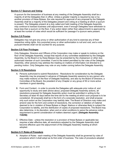#### **Section 5.7 Quorum and Voting**

A quorum for the transaction of business at any meeting of the Delegate Assembly shall be a majority of all the Delegates then in office. Unless a greater majority is required by law or by another provision of these Bylaws, the vote required for approval of any proposal by the Delegate Assembly shall be a majority of the Delegates present and voting at a meeting at which a quorum is present. The Delegates present at a duly called and held meeting of the Delegate Assembly may continue to transact business until adjournment, even if enough Delegates have withdrawn to leave less than a quorum on the floor, if any action taken (other than adjournment) is approved by at least the number of votes which would be sufficient for passage if a quorum were present.

#### **Section 5.8 Proxies**

Delegates may not give any proxy or other authorization of any kind to exercise any of their respective voting rights. Any purported proxy or other authorization is null and void, and a vote pursuant thereto shall not be counted for any purpose.

#### **Section 5.9 Floor Privileges**

Only Delegates, Directors and Officers of the Corporation may make or speak to motions on the floor of the Delegate Assembly, except that reports of any committee established by the Delegate Assembly, by the Board or by these Bylaws may be presented by the chairperson or other duly authorized member of such committee. If and to the extent permitted by the rules of the Delegate Assembly, other persons may address the meeting on matters of information not directed to a pending motion. Only Delegates may vote on any matter coming before the Delegate Assembly.

#### **Section 5.10 Resolutions**

- A. Persons authorized to submit Resolutions Resolutions for consideration by the Delegate Assembly may be proposed in advance of Delegate Assembly sessions by any person who may make motions on the floor of Delegate Assembly, and also by the Board of Directors, a Committee of the Board, the president of any Chapter or any group of 50 or more active members in good standing.
- B. Form and Content in order to provide the Delegates with adequate prior notice of, and opportunity to study and seek advice about, proposed Delegate Assembly actions, all resolutions proposed for Delegate Assembly action must be submitted in writing to the Secretary at least 45 days before the time set for the meeting at which such proposal is to be considered. All proposals shall be in the form of a corporate resolution, and shall propose only such action as the Corporation may lawfully take. The Board of Directors may make and amend rules for the form and content of resolutions, the correction or deletion of material deemed to be in violation of these Bylaws or illegal, libelous or otherwise likely to subject the Corporation to liability, and the distribution of copies of proposed resolutions. The Board may also determine, in its discretion, when and on what conditions to waive the advance notice requirement to permit consideration of matters deemed urgent. **(Delegate Assembly 7/20/96)**
- C. Effective Date unless the resolution or a provision of these Bylaws or applicable law requires a later effective date, all resolutions adopted by the Delegate Assembly shall become effective upon the adjournment of the Delegate Assembly meeting at which adopted.

#### **Section 5.11 Rules of Procedure**

A. Adoption of Rules - each meeting of the Delegate Assembly shall be governed by rules of procedure which it shall adopt as its first order of business. The rules of procedure adopted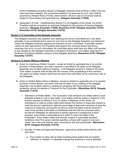at the immediately preceding session of Delegate Assembly shall continue in effect until new rules have been adopted. Any procedural questions not governed by such rules shall be governed by Roberts Rules of Order, latest revision. All such rules of procedure shall be subject to these Bylaws and applicable law. **(Delegate Assembly 7/18/98)**

B. Designation of Chair - notwithstanding Section 5.2 (D) Eligibility of this Article, the ACSS President shall be considered an automatic Delegate for the purpose of chairing Delegate Assembly. **(Delegate Assembly 7/18/98; Resolution 01/07, Delegate Assembly 7/21/07; Resolution 03/18, Delegate Assembly 7/14/18)**

#### **Section 5.12 Committee of the Delegate Assembly**

The Delegate Assembly may establish such standing and ad hoc committees as it may deem advisable, to be constituted and to serve for such term as the Delegate Assembly may determine. Unless the Delegate Assembly appoints the members of such committees, or specifies another method for their appointment, the President shall appoint the members thereof and fill any vacancies that occur on such committees. No committee action shall have any effect until reported to and adopted by the Delegate Assembly or the Board of Directors. Committees shall report to the Board of Directors between sessions of the Delegate Assembly. **(Resolution 01/07, Delegate Assembly 7/21/07)**

#### **Section 5.13 Action Without a Meeting**

- A. Action by Unanimous Written Consent except as limited by applicable law or by another provision of these Bylaws, any action required or permitted to be taken by the Delegate Assembly may be taken without a meeting, , if all Delegates consent in writing to the action. Their written consents shall be filed with the minutes of the proceedings of the members. The action by written consent shall have the same force and effect as the unanimous vote of the Delegates.
- B. Action by Written Ballot without a Meeting except as limited by applicable law or by another provision of these Bylaws, any action that may be taken at any meeting of the Delegate Assembly may be taken without a meeting by complying with the provisions of this subsection except the election of Directors for the Corporation. **(Resolution 03/18, Delegate Assembly 7/14/18)**
	- 1. Solicitation of Written Ballot The Corporation shall distribute one written ballot to each Delegate entitled to vote on the matter. Such ballots shall be mailed or delivered in the manner required by Section 5.5 (C) for Notice of Meetings of this Article. All solicitations of votes by written ballot shall indicate the number of responses needed to meet the quorum requirement, state the percentage of approvals necessary to pass the measure or measures, and specify the time by which the ballot must be received in order to be counted. Each ballot so distributed shall set forth the proposed action, provide the Delegates an opportunity to specify approval or disapproval of each proposal, and provide a reasonable time in which to return the ballot to the Corporation. Every written ballot shall provide, subject to reasonable specified conditions, that if the person solicited specifies a choice with respect to any such matter, his or her vote shall be cast in accordance with that specification. **(Resolution 03/18, Delegate Assembly 7/14/18)**
	- 2. Number of Votes and Approvals Required approval by written ballot shall be valid only when;
		- a. The number of votes cast by ballot (including those ballots that are marked "withhold" or "Abstain" or otherwise indicate that authority to vote is withheld)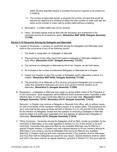within the time specified equals or exceeds the quorum required to be present at a meeting.

- b. The number of approvals equals or exceeds the number of votes that would be required for approval at a meeting at which the total number of votes cast was the same as the number of votes cast by written ballot without a meeting.
- 3. Revocation a written ballot may not be revoked.
- 4. Filing all written ballots shall be filed with the Secretary and maintained in the corporate records for at least four years. **(Resolution B&P 04/09, Delegate Assembly 7/11/09)**

#### **Section 5.14 Vacancies Among the Delegates and Alternates**

- A. Causes of Vacancies a vacancy or vacancies among the Delegates and Alternates shall exist on the occurrence of any of the following events:
	- 1. The death or resignation of a Delegate or Alternate.
	- 2. The occurrence of any other event that makes a Delegate or Alternate ineligible for such office. **(Resolution 01/07, Delegate Assembly, 7/21/07)**
	- 3. The removal of a Delegate or Alternate by his or her Chapter, as set forth below.
	- 4. An increase in the number of authorized Delegates or Alternates for a Chapter.
	- 5. Failure of a Chapter to elect the number of Delegates and/or Alternates to which it is entitled. **(Resolution B&P 04/09, Delegate Assembly 7/11/09)**
	- 6. The promotion of an Alternate to fill a vacancy among the Delegates (but a vacancy under this subsection shall exist only as to such person's former position as an Alternate). **(Resolution 5, Delegate Assembly 7/15/00)**
- B. Resignation a Delegate or Alternate may resign by giving written notice to the President or to the Corporation. Such resignation will be effective when received unless it specifies a later effective date, in which case it shall take effect as of such later date. **(Resolution 01/07, Delegate Assembly 7/21/07; Resolution 03/18, Delegate Assembly 7/14/18)**

Removal - a Chapter may remove a Delegate or Alternate from office, with or without cause, by vote of two-thirds of the members voting in person or by written ballot. The procedures for such vote shall be the same as those set forth in Section 5.3 (C), (D) and (E) of this Article for the election of Delegates, except that the question of removing a Delegate or Alternate shall be stated and acted upon separately from any election of replacement Delegates or Alternates. **(Resolution 03/18, Delegate Assembly 7/14/18)**

C. Filling Vacancies - Vacancies among the Delegates shall be filled, insofar as possible, by the promotion of Alternates, in the order specified in Section 5.2 (C) of this Article, to fill such vacancies. Vacancies that cannot be filled by any available Alternate may be filled by a special Chapter election. A Chapter may call a special election to fill any vacancy among its Alternates or any vacancy among its Delegates that cannot be filled by any available Alternate. A Chapter shall call and hold a special election if the positions of all its Alternates and more than half its Delegates are vacant for any reason. Special elections shall be called and held in the same manner as regular elections, pursuant to Section 5.3. Any such special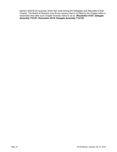election shall fill all vacancies which then exist among the Delegates and Alternates of that Chapter. The Board of Directors may fill any vacancy that is not filled by the Chapter within a reasonable time after such Chapter receives notice to do so. **(Resolution 01/07, Delegate Assembly 7/21/07; Resolution 03/18, Delegate Assembly 7/14/18)**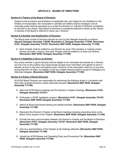# **ARTICLE 6 – BOARD OF DIRECTORS**

#### **Section 6.1 Powers of the Board of Directors**

Subject to the provisions and limitations of applicable law, and subject to any limitations in the Articles of Incorporation, the Corporation's activities and affairs shall be managed, and all corporate power shall be exercised by or under the direction of, a Board of Directors constituted as set forth in this Article. Said Board of Directors is sometimes referred to herein as the "Board." A member of the Board is referred to herein as a "Director".

#### **Section 6.2 Number and Qualification of Directors**

The Board shall consist of Directors elected as such by the Delegate Assembly as follows: **(Special Delegate Assembly 1/20/96; Resolution 6, Delegate Assembly 7/15/00; Resolution 01/07, Delegate Assembly 7/21/07; Resolution B&P 05/09, Delegate Assembly 7/11/09)**

A. Each Chapter shall be entitled to one Director for every 700 members or majority portion thereof, provided, however, that each Chapter shall be entitled to at least one Director. **(Resolution B&P 05/09, Delegate Assembly 7/11/09)**

#### **Section 6.3 Eligibility to Serve as Director**

Any active member in good standing shall be eligible to be nominated and elected as a Director, but only if he or she publicly and unequivocally accepts such nomination and agrees to serve if elected, all prior to the time nominations close. Directors of the Association shall not, at any time during their term of office, be eligible to hold any chapter elected position except for Delegate and Alternate Delegate. **(Resolution B&P 05/09, Delegate Assembly 7/11/09)**

#### **Section 6.4 Duties of Board Directors**

All ACSS Board Directors are responsible for performing the following duties in connection with their roles as Board Directors unless otherwise excused: **(Resolution B&P 05/09, Delegate Assembly 7/11/09)**

- A. Attend all ACSS Board meetings and the Director's Chapter meetings; **(Resolution 01/07, Delegate Assembly 7/21/07)**
- B. Participate in ACSS' legislative program; **(Resolution 01/07, Delegate Assembly 7/21/07; Resolution B&P 05/09, Delegate Assembly 7/11/09)**
- C. Attend all Board-sponsored training and related activities; **(Resolution B&P 05/09, Delegate Assembly 7/11/09)**
- D. Represent the Director's Chapter at the Board meetings including presenting items to the Board at the request of the Chapter; **(Resolution B&P 05/09, Delegate Assembly 7/11/09)**
- E. Provide two-way communication between the Director's Chapter and the Board of Directors; **(Resolution 01/07, Delegate Assembly 7/21/07; Resolution B&P 05/09, Delegate Assembly 7/11/09)**
- F. Acts as a representative of the Chapter at all meetings attended; **(Resolution B&P 05/09, Delegate Assembly 7/11/09)**
- G. Uphold the ACSS Bylaws and Operating Policy and Procedures File; **(Resolution B&P 05/09, Delegate Assembly 7/11/09)**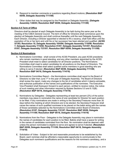- H. Respond to member comments or questions regarding Board motions; **(Resolution B&P 05/09, Delegate Assembly 7/11/09)**
- I. Other duties that may be assigned by the President or Delegate Assembly. **(Delegate Assembly 1/26/03; Resolution B&P 05/09, Delegate Assembly 7/11/09)**

#### **Section 6.5 Term of Office**

Directors shall be elected at each Delegate Assembly to be held during the same year as the meeting of the CSEA General Council. The term of office for Directors shall commence upon the election at Delegate Assembly and shall continue thereafter until the next Delegate Assembly. Each Director, including a Director appointed or elected to fill a vacancy, shall hold office until the expiration of his or her term and until his or her successor has been elected and qualified. **(ACSS 5/1/93; Resolution 10, Delegate Assembly 10/4/94; Delegate Assembly 7/18/98; Resolution 7, Delegate Assembly 7/15/00; Resolution 01/07, Delegate Assembly 7/21/07; Resolution 01/07, Delegate Assembly 7/21/07; Resolution B&P 05/09, Delegate Assembly 7/11/09)**

#### **Section 6.6 Nominations**

- A. Nominations Committee shall consist of the ACSS President, any past ACSS presidents who remain members in good standing, and any other members appointed by the ACSS President shall meet to select candidates for all Director positions. The Nominations Committee shall meet to select candidates for all positions on the Board of Directors. The Nominations Committee shall select qualified active members in good standing who are willing to serve if elected. **(Resolution B&P 05/09, Delegate Assembly 7/11/09; Resolution B&P 04/18, Delegate Assembly 7/14/18)**
- B. Nominations Committee Report the Nominations committee shall report to the Board of Directors no later than June  $1<sup>st</sup>$  in the year of Delegate Assembly. The Board of Directors shall review the report, make any changes to the list of candidates which it deems advisable, and authorize publication of the names and qualifications of the nominees. The Executive Vice-President shall thereupon forward to each person, entitled to receive notice, the notice of such meeting and other information required by Bylaws Sections 5.5 and 6.13(B). **(Resolution B&P 04/18, Delegate Assembly 7/14/18)**
- C. Nominations by Delegates Delegates representing at least two percent (2%) of the active members may place in nomination the name of one candidate for Director for each position to be filled. If any nominations are made in writing to the Secretary/Treasurer more than 30 days before the meeting at which Directors are to be elected, the Secretary/Treasurer shall cause the names of such qualified nominees to be placed on the ballot along with the names of those candidates selected by the Nominations Committee and/or Board of Directors. **(Resolution 01/07, Delegate Assembly 7/21/07; Resolution B&P 05/09, Delegate Assembly 7/11/09; Resolution B&P 04/18, Delegate Assembly 7/14/18)**
- D. Nominations from the Floor Delegates to the Delegate Assembly may place in nomination the names of candidates for each position to be filled. Ballots shall have a space for writing in the names of candidates nominated from the floor. No nomination shall be deemed valid unless the person nominated is eligible to serve and agrees to serve if elected. **(Resolution B&P 05/09, Delegate Assembly 7/11/09; Resolution B&P 04/18, Delegate Assembly 7/14/18)**
- E. Solicitation of Votes Subject to fair and reasonable procedures to be established by the Board, each nominee shall be afforded a reasonable opportunity to communicate to the Delegates such nominee's qualifications and the reasons for the nominee's candidacy, and a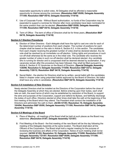reasonable opportunity to solicit votes. All Delegates shall be afforded a reasonable opportunity to choose among the nominees. **(Resolution B&P 05/09, Delegate Assembly 7/11/09; Resolution B&P 04/18, Delegate Assembly 7/14/18)**

- F. Use of Corporate Funds Without Board authorization, no funds of the Corporation may be expended to support a nominee for Director after more candidates have been nominated for the same position than can be elected. **(Resolution B&P 05/09, Delegate Assembly 7/11/09; Resolution B&P 04/18, Delegate Assembly 7/14/18)**
- G. Term of Office The term of office of Directors shall be for three years**. (Resolution B&P 04/18, Delegate Assembly 7/14/18)**

#### **Section 6.7 Election Procedures**

- A. Election of Other Directors Each delegate shall have the right to cast one vote for each of the determined number of positions from each chapter. The number of positions for each chapter shall be based on the ratio in Article 6, Section 6.2. in this section. The candidates from each chapter receiving the greatest number of votes shall be declared elected. Any tie vote shall be resolved by an immediate run-off election. Voting rights and procedures in such run-off shall otherwise be the same as in the initial vote. The candidate who receives the greater number of votes in such run-off election shall be declared elected. Any candidate who is running for director and is unopposed shall be deemed elected by acclamation. If any vacancies remain after this procedure has been followed, they shall be filled pursuant to Article 6, Section 6.15 Vacancies on the Board of Directors. **(Special Delegate Assembly 1/20/96; Resolution 9, Delegate Assembly 7/15/00; Resolution B&P 03/12, Delegate Assembly 7/20/12; Resolution B&P 04/18, Delegate Assembly 7/14/18)**
- B. Secret Ballot the election for Directors shall be by written, secret ballot with the candidates listed in chapter order using preprinted ballots approved by the Board of Directors. No ballot shall have any write-in candidates. **(Resolution B&P 04/18, Delegate Assembly 7/14/18)**

#### **Section 6.8 Installation of New Directors**

Newly elected Directors shall be installed as the Directors of the Corporation before the close of the Delegate Assembly at which they are elected. Before entering upon their duties, each shall take an oath, the exact terms of which may be established by resolution of the Board, to support the aims and purposes of the Corporation, support and defend its Bylaws, and faithfully discharge the duties of such office. Directors elected at other times shall take the oath at the beginning of the first meeting of the Board which they attend. The President shall conduct the installation of all Directors and administer the oath to them. **(ACSS 5/1/93; Resolution 10, Delegate Assembly 10/4/94; Resolution B&P 05/09, Delegate Assembly 7/11/09; Resolution B&P 04/18, Delegate Assembly 7/14/18)**

#### **Section 6.9 Meetings of the Board**

- A. Place of Meeting all meetings of the Board shall be held at such places as the Board may determine. **(Resolution 01/07, Delegate Assembly 7/21/07)**
- B. First Meeting of the Board the first meeting of the new Board will be the day following the meeting of the Delegate Assembly at the same location. The Board shall elect all the Officers of the Corporation. The Board shall hold a regular meeting for the purpose of reviewing the business and affairs of the Corporation. Notice of such meeting shall not be required. **(ACSS 5/1/93; Resolution 10, Delegate Assembly 7/15/00; Resolution 01/07, Delegate Assembly 7/21/07; Resolution B&P 05/09, Delegate Assembly 7/11/09; Resolution B&P 04/18, Delegate Assembly 7/14/18)**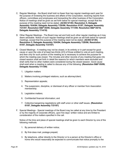- C. Regular Meetings the Board shall hold no fewer than two regular meetings each year for the purpose of reviewing the business and affairs of the Corporation, receiving reports from officers, committees and employees and transacting the other business of the Corporation. Notice of meetings shall be given as set forth below for special meetings, except that the purpose of the meeting need not be stated. **(ACSS 5/1/93; Resolution 5, Delegate Assembly 10/4/94; Delegate Assembly 7/20/96; Resolution 01/07, Delegate Assembly 7/21/07; Resolution B&P 05/09, Delegate Assembly 7/11/09; Resolution B&P 04/18, Delegate Assembly 7/14/18)**
- D. Other Regular Meetings The Board may set and hold such other regular meetings as it may deem advisable. Notice of such regular meetings shall be given as set forth below for special meetings, except that the purpose of the meeting need not be stated. **(ACSS 5/1/93; Resolution 5, Delegate Assembly 10/4/94; Delegate Assembly 7/20/96; Resolution 01/07, Delegate Assembly 7/21/07)**
- E. Closed Meetings A meeting may not be closed, in its entirely or in part except for good cause or upon the vote of at least two-thirds (2/3) of those entitled to vote at such meeting, and then only for such portion of the meeting as is necessary to achieve the purpose for which the meeting was closed. The minutes and other records of any meeting that goes into closed session shall set forth in detail the reasons for which members were excluded and shall verify that no other matters were considered during the closed session. Good cause shall exist when a meeting is called to discuss any of the following: **(Resolution B&P 05/09, Delegate Assembly 7/11/09)**
	- 1. Litigation matters
	- 2. Matters involving privileged relations, such as attorney/client;
	- 3. Representation appeals;
	- 4. The suspension, discipline, or dismissal of any officer or member from Association membership;
	- 5. Legislative matters;
	- 6. Confidential financial information; and
	- 7. Collective bargaining negotiations with staff union or other staff issues. **(Resolution 01/07, Delegate Assembly 7/21/07)**
- F. Special Meetings Special meetings of the Board may be called at any time by the President or by the majority of corporate officers, upon five days' written notice and are limited to consideration of the matters specified in the call.

Notice of the time and place of special meetings shall be given to each Director by one of the following methods:

- 1. By personal delivery of written notice;
- 2. By first-class mail, postage prepaid;
- 3. By telephone, either directly to the Director or to a person at the Director's office or home who would reasonably be expected to communicate that notice promptly to the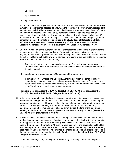Director;

- 4. By facsimile; or
- 5. By electronic mail.

All such notices shall be given or sent to the Director's address, telephone number, facsimile number or electronic mail address as shown on the records of the Corporation. Notices sent by first-class mail shall be deposited in the United States mail at least seven days before the time set for the meeting. Notices given by personal delivery, telephone, facsimile or electronic mail shall be delivered, telephoned, faxed or sent by electronic mail at least 48 hours before the time set for the meeting. The notice shall state the time, the place, and the general purpose of the meeting. **(Resolution B&P 02/06, Special Delegate Mail Ballot 08/10/06; Resolution 01/07, Delegate Assembly 7/21/07; Resolution B&P 05/09, Delegate Assembly 7/11/09; Resolution B&P 04/18, Delegate Assembly 7/14/18)**

- G. Quorum A majority of the authorized number of Directors shall constitute a quorum for the transaction of business, except to adjourn. Every action taken or decision made by a majority of the Directors present at a duly held meeting at which a quorum is present shall be the act of the Board, subject to any more stringent provisions of the applicable law, including, without limitation, those provisions relating to:
	- 1. Approval of contracts or transactions between the Corporation and one or more Directors or between the Corporation and any entity in which a Director has a material financial interest.
	- 2. Creation of and appointments to Committees of the Board, and
	- 3. Indemnification of Officers and Directors. A meeting at which a quorum is initially present may continue to transact business, despite the withdrawal of Directors if any action taken or decision made is approved by at least the number of votes which would be sufficient for passage if a quorum were present.

#### **(Special Delegate Assembly 10/7/05; Resolution B&P 05/09, Delegate Assembly 7/11/09; Resolution B&P 04/18, Delegate Assembly 7/14/18)**

- H. Adjournment A majority of the Directors present, whether or not a quorum is present, may adjourn any meeting to another time and place. Notice of the time and place of holding an adjourned meeting need not be given unless the original meeting is adjourned for more than 24 hours. If the original meeting is adjourned for more than 24 hours, notice of any adjournment to another time and place shall be given, before the time of the adjourned meeting, to the Directors who were not present at the time of the adjournment. **(Resolution B&P 05/09, Delegate Assembly 7/11/09)**
- I. Wavier of Notice Notice of a meeting need not be given to any Director who, either before or after the meeting, signs a waiver of notice, a written consent to the holding of the meeting, or an approval of the minutes of the meeting. The waiver of notice or consent need not specify the purpose of the meeting. All such waivers, consents, and approvals shall be filed with the corporate records or made a part of the minutes of the meeting. Notice of a meeting need not be given to any director who attends the meeting and does not protest, before or at the commencement of the meeting, the lack of notice to him or her. **(Resolution B&P 05/09, Delegate Assembly 7/11/09)**
- J. Telephonic Meetings Any meeting of the Board may be held by conference telephone or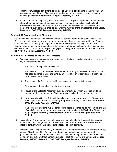similar communication equipment, as long as all Directors participating in the meeting can hear one another. All such Directors shall be deemed to be present in person at such a meeting. **(Resolution B&P 05/09, Delegate Assembly 7/11/09)**

K. Action without a meeting - Any action that the Board is required or permitted to take may be taken without a meeting if all Directors consent in writing to that action. Such action by written consent shall have the same force and effect as any other validly approved action of the Board. All such consents shall be filed with the minutes of the proceedings of the Board. **(Resolution B&P 05/09, Delegate Assembly 7/11/09)**

#### **Section 6.10 Compensation of Directors**

No Director shall be entitled to any compensation for services rendered as such Director. The Corporation shall, however, pay or reimburse the reasonable expenses incurred by the Directors in connection with attending meetings of the Board, the Delegate Assembly and the CSEA General Council, serving on Committees of the Board or other committees, or otherwise carrying out their duties on behalf of the Corporation. **(Special Delegate Assembly 10/7/05; Resolution B&P 04/18, Delegate Assembly 7/14/18)**

#### **Section 6.11 Vacancies on the Board of Directors**

- A. Causes of Vacancies A vacancy or vacancies on the Board shall exist on the occurrence of any of the following events:
	- 1. The death or resignation of a Director.
	- 2. The declaration by resolution of the Board of a vacancy in the office of a Director who has been declared of unsound mind by an order of court or convicted of a felony since being elected as a Director.
	- 3. The removal of a Director by the Delegate Assembly, as set forth below.
	- 4. An increase in the number of authorized Directors.
	- 5. Failure of the Delegate Assembly, during any meeting at which Directors are to be elected, to elect the number of Directors required to be elected at that meeting.
	- 6. Notwithstanding Section 4.5(A) of these Bylaws, a transfer or move of a Director from the Chapter area he/she represents. **(Delegate Assembly 7/18/98; Resolution B&P 04/18, Delegate Assembly 7/14/18)**
	- 7. A Director fails to attend two (2) consecutive Board meetings as defined in Sections 6.9 (C) and (D), without an authorized excuse as set forth in the ACSS Policy File Section 10. **(Delegate Assembly 07/26/03; Resolution B&P 04/18, Delegate Assembly 7/14/18)**
- B. Resignation A Director may resign by giving written notice to the President, the Secretary or the Board. Such resignation will be effective when received unless it specifies a later effective date, in which case it shall take effect as of such later date.
- C. Removal The Delegate Assembly may remove a Director from office, with or without cause, by vote of two-thirds of the Delegates in attendance and voting at a meeting at which a quorum is present. Directors may be removed only at a meeting; the provisions of Section 5.13 permitting action without a meeting shall not apply to removal of a Director. **(Delegate Assembly 7/20/96; Resolution B&P 04/18, Delegate Assembly 7/14/18)**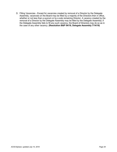D. Filling Vacancies - Except for vacancies created by removal of a Director by the Delegate Assembly, vacancies on the Board may be filled by a majority of the Directors then in office, whether or not less than a quorum or by a sole remaining Director. A vacancy created by the removal of a Director by the Delegate Assembly may be filled by the Delegate Assembly; if the Delegate Assembly fails to fill any such vacancy, the Board of Directors may do so as in the case of any other vacancy. **(Resolution B&P 04/18, Delegate Assembly 7/14/18)**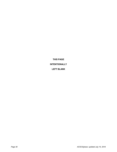**THIS PAGE INTENTIONALLY LEFT BLANK**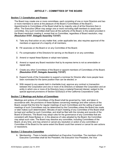# **ARTICLE 7 – COMMITTEES OF THE BOARD**

#### **Section 7.1 Constitution and Powers**

The Board may create one or more committees, each consisting of one or more Directors and two or more members to serve at the pleasure of the Board ("Committees of the Board"). Appointments to Committees of the Board shall be by majority vote of all the Directors then in office. The Executive Officer may assign one or more nonvoting staff members to assist each committee. Any such Committee shall have all the authority of the Board, to the extent provided in the Board resolution creating it, except that no Committee, regardless of Board resolution, may: **(Resolution 01/07, Delegate Assembly 7/21/07)**

- A. Take any final action on any matter that, under applicable law, also requires approval of the members or approval of a majority of all members;
- B. Fill vacancies on the Board or on any Committee of the Board;
- C. Fix compensation of the Directors for serving on the Board or on any committee;
- D. Amend or repeal these Bylaws or adopt new bylaws;
- E. Amend or repeal any Board resolution that by its express terms is not so amendable or repeal able;
- F. Create any other Committees of the Board or appoint members of Committees of the Board; **(Resolution 01/07, Delegate Assembly 7/21/07)**
- G. Expend funds of the Corporation to support a nominee for Director after more people have been nominated for the same position than can be elected; or
- H. With respect to any assets held in charitable trust, approve any contract or transaction between the Corporation and one or more of its Directors or between the Corporation and an entity in which one or more of its Directors have a material financial interest, subject to the special approval provisions of Section 5233(d)(3) of the California Corporations Code.

#### **Section 7.2 Meetings and Action of Committees**

Meetings and actions of Committees of the Board shall be governed by, held, and taken in accordance with, the provisions of these Bylaws concerning meetings and other actions of the Board, except that the time for regular meetings of such Committees and the calling of special meetings of such Committees may be determined by the Committee unless the Board has made or later makes such determination. Minutes of each meeting of any Committee of the Board shall be kept and verified by such Committee, and shall be filed with the minutes and records of the Board of Directors. The Board may adopt rules for the governance of any Committee that are consistent with these Bylaws or, in the absence of rules adopted by the Board, the Committee may adopt such rules. The Board may dissolve any committee, including Committees of the Board, at any time, and may amend or cancel any resolution or action of any committee or Committee of the Board to the same extent the Board could then amend or cancel its own actions or resolutions.

#### **Section 7.3 Executive Committee**

A. Membership - There is hereby established an Executive Committee. The members of the Executive Committee shall be the President, the Executive Vice President, the Vice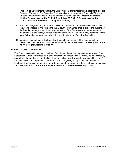President of Governmental Affairs, the Vice President of Membership Development, and the Secretary-Treasurer. The Executive Committee is also known as the Principal Officers or Officers and further defined in Article 8 of these Bylaws. **(Special Delegate Assembly 1/20/96; Delegate Assembly 7/18/98; Resolution B&P 03/12, Delegate Assembly 7/20/12; Resolution B&P 05/18, Delegate Assembly 7/14/18)**

- B. Authority Subject to any applicable provisions or limitations of these Bylaws, and to any limitations enacted by the full Board, the Executive Committee shall exercise the authority of the Board to manage the activities and the affairs of the Corporation, in the name and with the authority of the Board, between meetings of the Board. The Board may from time to time more fully define, or more narrowly limit, the authority of the Executive Committee.
- C. Meetings In meetings of the Executive Committee, a majority of the members of the Executive Committee shall constitute a quorum for the transaction of business. **(Resolution 01/07, Delegate Assembly 7/21/07)**

#### **Section 7.4 Other Committees**

The Board may establish other committees from time to time to serve particular purposes of the Corporation. Other committees have been established by these Bylaws, or may be established by amendment hereof; but neither the Board nor any bylaw may delegate to any committee any of the powers listed in Corporations Code Section 7212(a)(1)-(8). If any committee does not have at least one Director as a member it is not a Committee of the Board, and it may not have or exercise the powers set forth in this Article 7. **(Resolution 01/07, Delegate Assembly 7/21/07)**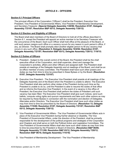# **ARTICLE 8 – OFFICERS**

#### **Section 8.1 Principal Officers**

The principal officers of the Corporation ("Officers") shall be the President, Executive Vice President, Vice President of Governmental Affairs, Vice President of Membership Development, and Secretary-Treasurer. **(Special Delegate Assembly 1/20/96; Resolution 01/07, Delegate Assembly 7/21/07; Resolution B&P 03/12, Delegate Assembly 7/20/12)**

#### **Section 8.2 Election and Eligibility of Officers**

The Board shall elect members of the Board of Directors to hold all of the offices described in Section 8.1, except the President will appoint an active member to be Secretary-Treasurer with the concurrence of the Board. Each such Officer shall hold office at the pleasure of the Board, or until such person resigns such office or a vacancy occurs for any reason in such person's office, if any, as Director. The Board shall promptly elect another eligible person to fill any vacancy that occurs in any such office. **(Resolution 5, Delegate Assembly 10/4/94; Resolution 01/07, Delegate Assembly 7/21/07; Resolution B&P 03/12, Delegate Assembly 7/20/12; 7/19/15**)

#### **Section 8.3 Duties of Officers**

- A. President Subject to the overall control of the Board, the President shall be the chief executive officer of the Corporation, and shall supervise, direct and manage the Corporation's activities, affairs and other Officers and assigned staff. The President shall preside at meetings of the Delegate Assembly and at meetings of the Board, and shall be an ex-officio member of every committee. The President shall have such other powers and duties as may from time to time be prescribed in these Bylaws or by the Board. **(Resolution 01/07, Delegate Assembly 7/21/07)**
- B. Executive Vice President The Executive Vice President shall preside at all meetings of the Delegate Assembly and of the Board which the President is unable to attend. The Executive Vice President shall also perform other duties of the President during such time as the President is unable to do so, until the President is able to resume the duties of that office and so informs the Executive Vice President. In the event of a vacancy in the office of President, the Executive Vice President shall perform the duties of President until such vacancy has been filled. The Executive Vice President shall give such notices, send such ballots, compute voting rights and quorum requirements and take such other actions as may be required by these Bylaws in connection with the nomination and election of Delegates, Alternates and/or Directors. The Executive Vice President shall have such other duties as may from time to time be prescribed by the Board of Directors. **(Resolution 13, Delegate Assembly 7/15/00; Resolution 01/07, Delegate Assembly 7/21/07; Resolution B&P 03/12, Delegate Assembly 7/20/12)**
- C. Vice President of Governmental Affairs The Vice President of Governmental Affairs acts in place of the Executive Vice President during his/her absence or disability. The Vice President of Governmental Affairs, under the direction of the President, shall be primarily responsible for the development of the political programs and strategies of the Corporation and Chapters and shall serve on both the Political Action and Legislative Committees. The Vice President of Governmental Affairs shall also have such other duties as may from time to time be prescribed by the President or Board of Directors. **(Resolution B&P 06/09, Delegate Assembly 7/11/09; Resolution B&P 03/12, Delegate Assembly 7/20/12; Resolution B&P 06/18, Delegate Assembly 7/14/18)**
- D. Vice President of Membership Development The Vice President of Membership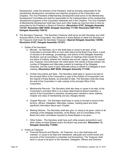Development, under the direction of the President, shall be primarily responsible for the membership development, recruitment and retention programs of the Corporation and Chapters. The Vice President of Membership Development shall serve on the Membership Development Committee and shall be responsible for the implementation of the membership development programs of the Corporation statewide and in the Chapters. The Vice President of Membership Development shall also have such other duties as may from time to time be prescribed by the President or Board of Directors. **(Resolution 01/07, Delegate Assembly 7/21/07; Resolution B&P 06/09, Delegate Assembly 7/11/09; Resolution B&P 03/12, Delegate Assembly 7/20/12)**

- E. The Secretary-Treasurer The Secretary-Treasurer shall serve as both Secretary and chief financial officer of the Corporation. Any reference in these Bylaws to either the Secretary or the Treasurer shall mean the Secretary-Treasurer. **(Special Delegate Assembly 1/20/96; Resolution 01/07, Delegate Assembly 7/21/07)**
	- 1. Duties of the Secretary
		- a. Minutes As Secretary, he or she shall keep or cause to be kept, at the Corporation's principal office or such other place as the Board may direct, a book of minutes of all meetings, proceedings, and actions of the Delegate Assembly, the Board, and all committees. The minutes of meetings shall include the time and place of holding; whether the meeting was annual, regular, closed or special and, if special, how authorized; the notice given; the names of those present; the number of Delegates and Alternates present at meetings of the Delegate Assembly, and the name of each Alternate acting on behalf of a Delegate at each meeting. **(Resolution B&P 06/09, Delegate Assembly 7/11/09)**
		- b. Charter Documents and Seal The Secretary shall keep or cause to be kept at the principal office of the Corporation a copy of the Articles of Incorporation and the original of these Bylaws, as amended to date. The Secretary shall also keep the seal of the Corporation in safe custody at the principal office of the Corporation.
		- c. Membership Records The Secretary shall also keep or cause to be kept, at the Corporation's principal office or at a place determined by Board resolution, a record of the Corporation's members, showing each member's name, address, Chapter and class of membership and any changes thereto.
		- d. Chapter Records The Secretary shall keep or cause to be kept a record of the territory, officers, Delegates, Alternates, bylaws, meeting place and other significant information about each Chapter.
		- e. Meeting Notices The Secretary shall also give, or cause to be given, notice of all meetings of the Delegate Assembly, of the Board, and of Committees of the Board and other committees required by these Bylaws to be given.
		- f. Other Duties The Secretary shall have such other powers and perform such other duties as these Bylaws and/or the Board may prescribe. **(Resolution 13, Delegate Assembly 7/15/00)**
	- 2. Duties as Treasurer
		- a. Financial Records and Reports As Treasurer, he or she shall keep and maintain, or cause to be kept and maintained, adequate and correct books and accounts of the Corporation's properties and transactions. The Treasurer shall send or cause to be given to the members, Delegates, Officers and Directors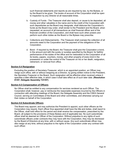such financial statements and reports as are required by law, by the Bylaws, or by the Board to be given. The books of account of the Corporation shall be open to inspection by any Director at all reasonable times.

- b. Custody of Funds The Treasurer shall also deposit, or cause to be deposited, all money and other valuables in the name and to the credit of the Corporation with such depositories as the Board may designate, shall disburse the Corporation's funds as the Board may order, shall render to the President and the Board, when requested, an account of all transactions as chief financial officer and of the financial condition of the Corporation, and shall have such other powers and perform such other duties as the Board or the Bylaws may prescribe.
- c. Collections and Disbursements The Treasurer shall oversee the collection of all amounts owed to the Corporation and the payment of the obligations of the Corporation.
- d. Bond If required by the Board, the Treasurer shall give the Corporation a bond, in the amount and with the surety or sureties specified by the Board, for faithful performance of the duties of the office and for restoration to the Corporation of all its books, papers, vouchers, money, and other property of every kind in the possession or under the control of the Treasurer on his or her death, resignation, retirement, or removal from office.

#### **Section 8.4 Resignation**

Excluding the position of Secretary-Treasurer, which is an appointed position, an Officer may resign such office, with or without resigning as a Director, by giving written notice to the President, the Secretary-Treasurer or the Board. Such resignation will be effective when received unless it specifies a later effective date, in which case it shall take effect as of such later date. **(Resolution 01/07, Delegate Assembly 7/21/07)**

#### **Section 8.5 Compensation of Officers**

No Officer shall be entitled to any compensation for services rendered as such Officer. The Corporation shall, however, pay or reimburse the reasonable expenses incurred by the Officers in connection with attending meetings of the Board, the Delegate Assembly and the CSEA General Council, serving on Committees of the Board and other committees, and otherwise carrying out their duties on behalf of the Corporation.

#### **Section 8.6 Subordinate Officers**

The Board may appoint, and may authorize the President to appoint, such other officers as the Corporation may require. Each officer thus appointed shall have the title and duties, shall report to the Officer, shall hold office for the period and shall receive the compensation, prescribed by the Board, all subject to the provisions of these Bylaws and of applicable law. No such subordinate officer shall be deemed an Officer of the Corporation. Without prejudice to any rights of such subordinate officers under contracts they may have with the Corporation, they may be dismissed by the Board of Directors at any time, with or without cause. Any such subordinate officer may also resign at any time, without prejudice to the rights of the Corporation under any contract with such officer.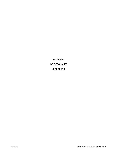**THIS PAGE INTENTIONALLY LEFT BLANK**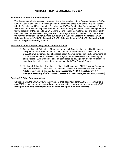# **ARTICLE 9 – REPRESENTATIVES TO CSEA**

#### **Section 9.1 General Council Delegation**

The delegates and alternates who represent the active members of the Corporation on the CSEA General Council shall be: (1) the Delegates and Alternates elected pursuant to Article 9, Section 9.2, (2) President and Executive Vice President and (3) Vice President of Governmental Affairs, Vice President of Membership Development, and the Secretary-Treasurer. The election procedure for the selection of Delegates to CSEA General Council shall be simultaneously and concurrently conducted with the election of Delegates to ACSS Delegate Assembly and shall be conducted in the manner prescribed in Bylaws Article 5, Section 5.3. **(Special Delegate Assembly 1/20/96; Delegate Assembly 7/18/98; Resolution 01/07, Delegate Assembly 7/21/07; Resolution B&P 03/12, Delegate Assembly 7/20/12)**

#### **Section 9.2 ACSS Chapter Delegates to General Council**

- A. General Council Delegates The members of each Chapter shall be entitled to elect one Delegate for each 200 members of such Chapter, unless otherwise specified in the CSEA Bylaws, determined as of a record date 30 days prior to such election (rounding all fractional results to the nearest whole Delegate; there shall be no fractional voting rights of Delegates). Such Delegates shall be considered as having been elected for purposes exercising the voting power of the members at the CSEA General Council.
- B. Election of Delegates The election of both the Delegates to ACSS Delegate Assembly and CSEA General Council shall be held concurrently as one election as set forth in Article 5, Sections 5.2 and 5.3. **(Delegate Assembly 7/18/98; Resolution 01/07, Delegate Assembly 7/21/07; 7/19/15; Resolution 07/18, Delegate Assembly 7/14/18)**

#### **Section 9.3 Other Representatives**

Consistent with the CSEA Bylaws, the President shall appoint all other ACSS representatives to any CSEA committee, body or council not otherwise elected or appointed by members of ACSS. **(Delegate Assembly 7/18/98; Resolution 01/07, Delegate Assembly 7/21/07)**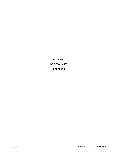**THIS PAGE INTENTIONALLY LEFT BLANK**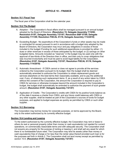# **ARTICLE 10 – FINANCE**

#### **Section 10.1 Fiscal Year**

The fiscal year of the Corporation shall be the calendar year.

#### **Section 10.2 The Budget**

- A. Adoption The Corporation's fiscal affairs shall be managed pursuant to an annual budget adopted by the Board of Directors. **(Resolution 15, Delegate Assembly 7/15/00; Resolution 01/07, Delegate Assembly 7/21/07; Resolution B&P 07/09, Delegate Assembly 7/11/09; Resolution FISCAL 01/18, Delegate Assembly 7/14/2018)**
- B. Exceeding Budget No expenditure of the Corporation's funds or other assets may be made or contracted for except pursuant to and in accordance with a budget duly adopted by the Board of Directors, the Corporation may incur and pay obligations in excess of those included in the budget if funding for such additional expenditures is provided by either: (1) dues or other revenues in excess of those anticipated by the budget; or (2) savings on other budgeted items. Amounts included as "reserves" in the budget may be used only with the approval of two-thirds of the Directors then in office, and then only to cover obligations that was incurred involuntarily and must be paid to avoid legal liability for the Corporation. **(Resolution 01/07, Delegate Assembly 7/21/07; Resolution FISCAL 01/18, Delegate Assembly 7/14/2018)**
- C. Automatic Amendment If CSEA cannot or does not agree to provide all the services ordered by the Corporation pursuant to its budget, then the budget shall be deemed automatically amended to authorize the Corporation to obtain replacement goods and services elsewhere on the best terms then reasonably available, and to pay the additional cost, if any, of obtaining such replacement items. If, as a result of any action taken by CSEA without the consent of the Corporation, the amount the Corporation is required to pay to CSEA for services or otherwise increases beyond the amount included in the Corporation's budget, the budget shall automatically be amended to authorize the payment of such greater amount. **(Resolution 01/07, Delegate Assembly 7/21/07)**
- D. Application of Credits The Corporation's credits with CSEA for its positive funds balance as of the date it receives a charter from CSEA, and any future credit balances with CSEA or any other supplier, shall be treated as part of the Corporation's sources of funds for budget purposes, and applied to budget expenses as quickly as permitted by CSEA or such other supplier.

#### **Section 10.3 Borrowing**

The Corporation may borrow money for corporate purposes, on terms approved by the Board, only to the extent authorized by its currently effective budget.

#### **Section 10.4 Lending and Leasing**

To the extent authorized by the currently effective budget, the Corporation may rent or lease to others its real or personal property (other than money or cash equivalents) not needed for current operations, on commercially reasonable terms and with adequate security. The Corporation shall not acquire any property for the purpose of renting or leasing it, and shall sell any asset for which there is no foreseeable future need. The Corporation may lend its assets (other than money or cash equivalents) free of charge or for less than the rental value thereof provided such loan is for the purposes set forth in Article 2. The Corporation shall not lend money except as permitted by section 10.6. **(Resolution 01/07, Delegate Assembly 7/21/07)**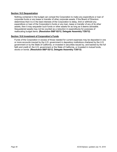#### **Section 10.5 Sequestration**

Nothing contained in the budget can compel the Corporation to make any expenditure or loan of corporate funds or any lease or transfer of other corporate assets. If the Board of Directors determines that it is in the best interests of the Corporation to delay, limit or withhold any expenditure or loan of the Corporation's funds or any loan, lease or transfer of any of its other assets, then it may sequester such funds or other assets for as long as it deems advisable. Sequestered assets may not be counted as a reduction in expenditures for purposes of reallocating budget items. **(Resolution B&P 02/12, Delegate Assembly 7/20/12)**

#### **Section 10.6 Investment of Corporation's Funds**

Funds of the Corporation in excess of those needed for current expenses may be deposited in one or more accounts insured by the U.S. government in depository institutions chartered by the U.S. government or by the State of California, or invested in securities issued by, and backed by the full faith and credit of, the U.S. government or the State of California, or Invested in mutual funds, stocks or bonds. **(Resolution B&P 02/12, Delegate Assembly 7/20/12)**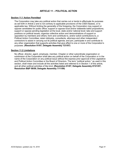# **ARTICLE 11 – POLITICAL ACTION**

#### **Section 11.1 Action Permitted**

The Corporation may take any political action that carries out or tends to effectuate its purposes as set forth in Article 2 and is not contrary to applicable provisions of the CSEA Bylaws, or to applicable law. Without limiting the generality of the foregoing, the Corporation may support or oppose candidates for public office; support or oppose local and/or statewide ballot propositions; support or oppose pending legislation at the local, state and/or national level; take and support positions on political issues; organize collective action and demonstrations of support or opposition by members and others; form and contribute to, and/or solicit contributions to, a Political Action Committee; retain lobbyists, consultants, attorneys and other independent contractors to assist in carrying out its political agenda; and join, participate in and contribute to any other organization that supports activities that give effect to one or more of the Corporation's purposes. **(Resolution 01/07, Delegate Assembly 7/21/07)**

#### **Section 11.2 Limitations**

No officer, director, agent, employee, member, Chapter or other subordinate organization or subdivision of the Corporation shall take any political action on behalf of the Corporation or in the name of the Corporation on any political issue without the express prior approval of the Legislative and Political Action Committee or the Board of Directors. The term "political action," as used in this section, shall mean and include all the activities listed and referred to in Section 1 of this article, and all other political activities of like kind. **(Resolution 01/07, Delegate Assembly 07/21/07; Resolution B&P 08/09, Delegate Assembly 7/11/09)**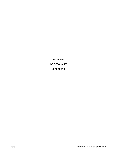**THIS PAGE INTENTIONALLY LEFT BLANK**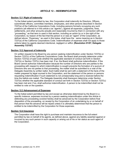# **ARTICLE 12 – INDEMNIFICATION**

#### **Section 12.1 Right of Indemnity**

To the fullest extent permitted by law, this Corporation shall indemnify its Directors, Officers, subordinate officers, committee members, employees, and other persons described in Section 7237(a) of the California Corporations Code, including persons formerly occupying any such positions (all referred to in this article a as "agents"), against all expenses, judgments, fines, settlements, and other amounts actually and reasonably incurred by them in connection with any "proceeding," as that term is used in that section, including an action by or in the right of the Corporation, by reason of the fact that the person is or was an "agent" of the Corporation, as defined above. "Expenses," as used in this bylaw, shall have the same meaning as in Section 7237(a) of the California Corporations Code. Indemnification of expenses shall not apply to those actions taken by agents deemed intentional, negligent or willful. **(Resolution 01/07, Delegate Assembly 7/21/07)**

#### **Section 12.2 Approval of Indemnity**

On written request to the Board by any person seeking indemnification under Section 7237(b) or Section 7237(c) of the California Corporations Code, the Board shall promptly determine under Section 7237(e) of said Code whether the applicable standard of conduct set forth in Section 7327(b) or Section 7237(c) has been met. If so, the Board shall authorize indemnification. If the Board cannot authorize indemnification because the number of Directors who are parties to the proceeding with respect to which indemnification is sought prevents the formation of a quorum of Directors who are not parties to that proceeding, the matter shall be submitted to a vote of the Delegate Assembly by written ballot. Each ballot shall be sent with a statement of the facts of the matter prepared by legal counsel to the Corporation, and the statement of the person or persons requesting indemnification if such statement is not unreasonably long and is received before the time the ballots are mailed. The Delegate Assembly shall thereupon determine under Section 7237(e) whether the applicable standard of conduct set forth in Section 7237(b) or Section 7237(c) has been met and, if so, shall authorize indemnification. A person to be indemnified shall not be entitled to vote on the question.

#### **Section 12.3 Advancement of Expenses**

To the fullest extent permitted by law and except as otherwise determined by the Board in a specific instance, expenses incurred by a person seeking indemnification under this Article in defending any proceeding covered hereby shall be advanced by the Corporation before final disposition of the proceeding, on receipt by the Corporation of an undertaking by or on behalf of that person that the advance will be repaid unless it is ultimately determined that the person is entitled to be indemnified by the Corporation for those expenses.

#### **Section 12.4 Insurance**

The Corporation shall have the right to purchase and maintain insurance to the full extent permitted by law on behalf of its agents, as defined above, against any liability asserted against or incurred by any such person in such capacity or arising out of his or her status as such agent of the Corporation.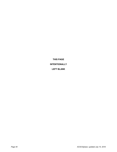**THIS PAGE INTENTIONALLY LEFT BLANK**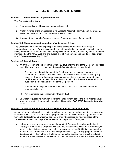# **ARTICLE 13 – RECORDS AND REPORTS**

#### **Section 13.1 Maintenance of Corporate Records**

The Corporation shall keep:

- A. Adequate and correct books and records of account;
- B. Written minutes of the proceedings of its Delegate Assembly, committee of the Delegate Assembly, the Board and Committees of the Board; and
- C. A record of each member's name, address, Chapter and class of membership.

#### **Section 13.2 Maintenance and Inspection of Articles and Bylaws**

The Corporation shall keep at its principal office the original or a copy of the Articles of Incorporation, and these Bylaws, as amended to date, which shall be open to inspection by the voting members' at all reasonable times during office hours. A copy of these Bylaws shall also be maintained on the ACSS Web site and available to all members in good standing. **(Resolution 01/07, Delegate Assembly 7/21/07)**

#### **Section 13.3 Annual Reports**

- A. An annual report shall be prepared within 120 days after the end of the Corporation's fiscal year. That report shall contain the following information in appropriate detail:
	- 1. A balance sheet as of the end of the fiscal year, and an income statement and statement of changes in financial position for the fiscal year, accompanied by any report on them by independent accountants, or, if there is no such report, by the certificate of an authorized officer of the Corporation that they were prepared without audit from the books and records of the Corporation.
	- 2. A statement of the place where the list of the names and addresses of current members is located.
	- 3. Any information that is required by Section 13.4.
- B. On written request by a member, the Board shall promptly cause the most recent annual report to be sent to the requesting member. **(Resolution B&P 08/18, Delegate Assembly 7/14/18)**

#### **Section 13.4 Annual Statements of Certain Transactions and Indemnifications**

As part of the annual report to all voting members, or as a separate document if no annual report is issued, the Corporation shall annually prepare and mail or deliver to its voting members and furnish to its Directors and Officers a statement of any transaction or indemnification of the following kinds within 120 days after the end of the Corporation's fiscal year:

A. Unless approved by members, by and through their Delegate Assembly, under Section 7233(a) of the California Corporations Code, any transaction to which the Corporation, its parent, or its subsidiary was a party, which involved more than \$50,000 or was one of a number of such transactions with the same person involving, in the aggregate, more than \$50,000, and in which either of the following interested persons had a direct or indirect material financial interest (a mere common directorship is not a material financial interest):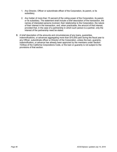- 1. Any Director, Officer or subordinate officer of the Corporation, its parent, or its subsidiary;
- 2. Any holder of more than 10 percent of the voting power of the Corporation, its parent, or its subsidiary. The statement shall include a brief description of the transaction, the names of interested persons involved, their relationship to the Corporation, the nature of their interest in the transaction, and, when practicable, the amount of that interest, provided that, in the case of a partnership in which such person is a partner, only the interest of the partnership need be stated.
- B. A brief description of the amounts and circumstances of any loans, guaranties, indemnifications, or advances aggregating more than \$10,000 paid during the fiscal year to any Officer, subordinate officer or Director of the Corporation, unless the loan, guaranty, indemnification, or advance has already been approved by the members under Section 7235(a) of the California Corporations Code, or the loan or guaranty is not subject to the provisions of that section.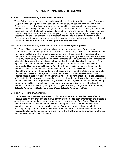# **ARTICLE 14 – AMENDMENT OF BYLAWS**

#### **Section 14.1 Amendment by the Delegate Assembly**

These Bylaws may be amended, or new bylaws adopted, by vote or written consent of two-thirds (2/3) of the Delegates present and voting at any duly called, noticed and held meeting of the Delegate Assembly at which a quorum is present, provided advance notice of the proposed amendment has been given to the Delegates at least 30 days before such meeting is held. Such notice shall set forth the text of the proposed amendment, and shall be mailed or otherwise given to each Delegate in the manner required for giving notice of special meetings of the Delegate Assembly. Any provision of these Bylaws that requires the vote of a larger proportion of the Delegates than otherwise required by this article may not be amended or repealed except by such larger vote. **(Resolution B&P 09/18, Delegate Assembly 7/14/18)**

#### **Section 14.2 Amendment by the Board of Directors with Delegate Approval**

The Board of Directors may adopt new bylaws, or amend or repeal these Bylaws, by vote or written consent of two-thirds (2/3) of the Directors present at a duly called, noticed and conducted meeting of the Board at which a quorum is present, and with the consent or ratification of twothirds (2/3) of the Delegates. Any proposed amendment adopted by the Board of Directors, unless previously approved by the required number of Delegates, shall be submitted to the Delegates for ratification. Delegates shall have 60 days from the date the matter is mailed to them to ratify or reject the proposed amendment. Failure by a Delegate to reject within such time shall be considered ratification by such Delegate. Any other Delegate action to reject or to approve the amendment shall be deemed taken when a written certificate is actually received at the principal office of the Corporation. The amendment shall become effective on the 61st day after mailing to the Delegates unless sooner rejected by more than one-third (1/3) of the Delegates. It shall become effective sooner if it has been affirmatively accepted by two-thirds (2/3) of the Delegates. A Delegate decision may not be changed after the certificate by the delegate has been received at the principal office of the Corporation. If any provision of these Bylaws requires the vote of a larger proportion of the Board than otherwise required by law, such provision may not be altered, amended or repealed except by that greater vote. **(Resolution 2, Delegate Assembly 10/4/94; Delegate Assembly 7/20/96; Resolution 01/07, Delegate Assembly 7/21/07)**

#### **Section 14.3 Record of Amendments**

The Secretary shall keep complete records of all amendments for at least five years after the effective date thereof, including the bylaws as they existed before each amendment, the exact text of each amendment, and the bylaws as amended. In the discretion of the Board of Directors, these Bylaws may be restated in their entirety to incorporate extensive amendments, or the amendments may be endorsed upon the existing Bylaws and signed in the margin by the Secretary. In any event, the Secretary shall ensure that these Bylaws accurately and completely incorporate all amendments to date, and shall certify that the Bylaws, as so amended, are the true and complete bylaws of the Corporation.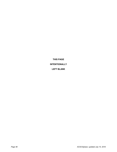**THIS PAGE INTENTIONALLY LEFT BLANK**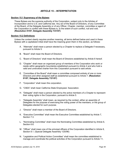# **ARTICLE 15 – INTERPRETATION**

#### **Section 15.1 Supremacy of the Bylaws**

These Bylaws are the supreme authority of the Corporation, subject only to the Articles of Incorporation and to U.S. and California law. Any act of the Board of Directors, of any Committee of the Board, of the Delegate Assembly or of any Officer, Chapter, member, committee or agent of the Corporation in conflict with these Bylaws is, to the extent of such conflict, null and void. **(Resolution 01/07, Delegate Assembly 7/21/07)**

#### **Section 15.2 Definitions**

Unless the context clearly requires another meaning, all terms defined below and used in these Bylaws with a capitalized initial shall have the meaning given them in this section, as follows:

- A. "Alternate" shall mean a person elected by a Chapter to replace a Delegate if necessary, pursuant to Article 5.
- B. "Board" shall mean the Board of Directors.
- C. "Board of Directors" shall mean the Board of Directors established by Article 6 hereof.
- D. "Chapter" shall mean an organized group of members of the Corporation who work or reside within geographic boundaries established pursuant to Article 4 and who hold a valid and unrevoked charter from this Corporation pursuant to said article.
- E. "Committee of the Board" shall mean a committee composed entirely of one or more Directors and other assigned staff as established pursuant to Article 7. **(Resolution 01/07, Delegate Assembly 7/21/07)**
- F. "Corporation" shall mean this corporation.
- G. "CSEA" shall mean California State Employees' Association.
- H. "Delegate" shall mean a person elected by the active members of a Chapter to represent their voting rights in the Corporation, pursuant to Article 5.
- I. "Delegate Assembly" shall mean, as required by the context, either an assembly of Delegates for the purpose of exercising the voting power of the members, or the group of Delegates elected for such purpose.
- J. "Director" shall mean a member of the Board of Directors.
- K. "Executive Committee" shall mean the Executive Committee established by Article 7, Section 7.3.
- L. "Nominating Committee" shall mean the Nominating Committee established by Article 6, Section 6.6.
- M. "Officer" shall mean one of the principal officers of the Corporation identified in Article 8, Section 8.1. (Special Delegate Assembly 1/20/96)
- N. "Legislative and Political Action Committee" shall mean the committee established to manage and coordinate the political activities of the Corporation pursuant to Article 11,